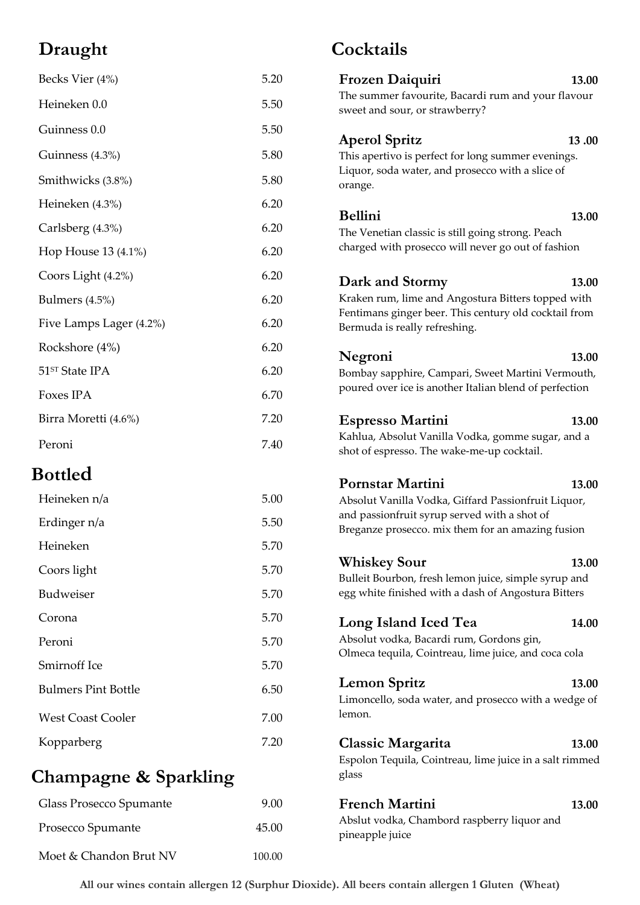# **Draught**

| Becks Vier (4%)         | 5.20 | Frozen Daiquiri<br>13.00                                                                                                                                 |  |
|-------------------------|------|----------------------------------------------------------------------------------------------------------------------------------------------------------|--|
| Heineken 0.0            | 5.50 | The summer favourite, Bacardi rum and your flavour<br>sweet and sour, or strawberry?                                                                     |  |
| Guinness 0.0            | 5.50 | 13.00                                                                                                                                                    |  |
| Guinness (4.3%)         | 5.80 | <b>Aperol Spritz</b><br>This apertivo is perfect for long summer evenings.<br>Liquor, soda water, and prosecco with a slice of<br>orange.                |  |
| Smithwicks (3.8%)       | 5.80 |                                                                                                                                                          |  |
| Heineken (4.3%)         | 6.20 |                                                                                                                                                          |  |
| Carlsberg (4.3%)        | 6.20 | <b>Bellini</b><br>13.00<br>The Venetian classic is still going strong. Peach<br>charged with prosecco will never go out of fashion                       |  |
| Hop House 13 (4.1%)     | 6.20 |                                                                                                                                                          |  |
| Coors Light (4.2%)      | 6.20 | Dark and Stormy<br>13.00                                                                                                                                 |  |
| Bulmers $(4.5\%)$       | 6.20 | Kraken rum, lime and Angostura Bitters topped with<br>Fentimans ginger beer. This century old cocktail from<br>Bermuda is really refreshing.             |  |
| Five Lamps Lager (4.2%) | 6.20 |                                                                                                                                                          |  |
| Rockshore (4%)          | 6.20 | Negroni<br>13.00                                                                                                                                         |  |
| 51ST State IPA          | 6.20 | Bombay sapphire, Campari, Sweet Martini Vermouth,<br>poured over ice is another Italian blend of perfection                                              |  |
| Foxes IPA               | 6.70 |                                                                                                                                                          |  |
| Birra Moretti (4.6%)    | 7.20 | <b>Espresso Martini</b><br>13.00                                                                                                                         |  |
| Peroni                  | 7.40 | Kahlua, Absolut Vanilla Vodka, gomme sugar, and a<br>shot of espresso. The wake-me-up cocktail.                                                          |  |
| <b>Bottled</b>          |      | <b>Pornstar Martini</b><br>13.00                                                                                                                         |  |
| Heineken n/a            | 5.00 | Absolut Vanilla Vodka, Giffard Passionfruit Liquor,<br>and passionfruit syrup served with a shot of<br>Breganze prosecco. mix them for an amazing fusion |  |
| Erdinger n/a            | 5.50 |                                                                                                                                                          |  |
| Heineken                | 5.70 |                                                                                                                                                          |  |
| Coors light             | 5.70 | <b>Whiskey Sour</b><br>13.00<br>Bulleit Bourbon, fresh lemon juice, simple syrup and                                                                     |  |
| Budweiser               | 5.70 | egg white finished with a dash of Angostura Bitters                                                                                                      |  |
| Corona                  | 5.70 | Long Island Iced Tea<br>14.00                                                                                                                            |  |

**Cocktails**

**Champagne & Sparkling**

Peroni 5.70

Smirnoff Ice 5.70

Bulmers Pint Bottle 6.50

West Coast Cooler 7.00

Kopparberg 7.20

| Glass Prosecco Spumante | 9.00   | <b>French Martini</b>                                          | 13.00 |
|-------------------------|--------|----------------------------------------------------------------|-------|
| Prosecco Spumante       | 45.00  | Abslut vodka, Chambord raspberry liquor and<br>pineapple juice |       |
| Moet & Chandon Brut NV  | 100.00 |                                                                |       |

lemon.

glass

Absolut vodka, Bacardi rum, Gordons gin,

Olmeca tequila, Cointreau, lime juice, and coca cola

**Lemon Spritz 13.00** Limoncello, soda water, and prosecco with a wedge of

**Classic Margarita 13.00** Espolon Tequila, Cointreau, lime juice in a salt rimmed

**All our wines contain allergen 12 (Surphur Dioxide). All beers contain allergen 1 Gluten (Wheat)**